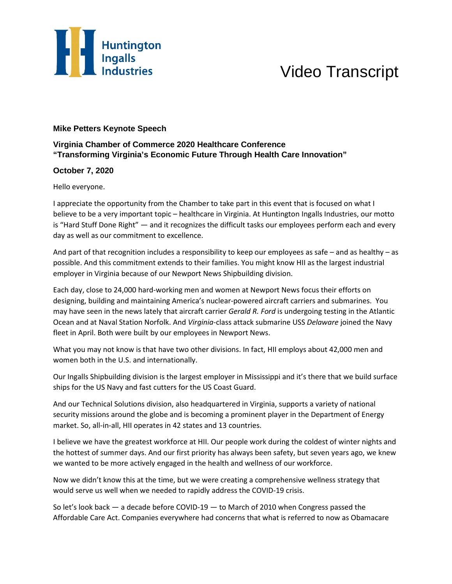

## Video Transcript

## **Mike Petters Keynote Speech**

## **Virginia Chamber of Commerce 2020 Healthcare Conference "Transforming Virginia's Economic Future Through Health Care Innovation"**

## **October 7, 2020**

Hello everyone.

I appreciate the opportunity from the Chamber to take part in this event that is focused on what I believe to be a very important topic – healthcare in Virginia. At Huntington Ingalls Industries, our motto is "Hard Stuff Done Right" — and it recognizes the difficult tasks our employees perform each and every day as well as our commitment to excellence.

And part of that recognition includes a responsibility to keep our employees as safe – and as healthy – as possible. And this commitment extends to their families. You might know HII as the largest industrial employer in Virginia because of our Newport News Shipbuilding division.

Each day, close to 24,000 hard-working men and women at Newport News focus their efforts on designing, building and maintaining America's nuclear-powered aircraft carriers and submarines. You may have seen in the news lately that aircraft carrier *Gerald R. Ford* is undergoing testing in the Atlantic Ocean and at Naval Station Norfolk. And *Virginia*-class attack submarine USS *Delaware* joined the Navy fleet in April. Both were built by our employees in Newport News.

What you may not know is that have two other divisions. In fact, HII employs about 42,000 men and women both in the U.S. and internationally.

Our Ingalls Shipbuilding division is the largest employer in Mississippi and it's there that we build surface ships for the US Navy and fast cutters for the US Coast Guard.

And our Technical Solutions division, also headquartered in Virginia, supports a variety of national security missions around the globe and is becoming a prominent player in the Department of Energy market. So, all-in-all, HII operates in 42 states and 13 countries.

I believe we have the greatest workforce at HII. Our people work during the coldest of winter nights and the hottest of summer days. And our first priority has always been safety, but seven years ago, we knew we wanted to be more actively engaged in the health and wellness of our workforce.

Now we didn't know this at the time, but we were creating a comprehensive wellness strategy that would serve us well when we needed to rapidly address the COVID-19 crisis.

So let's look back — a decade before COVID-19 — to March of 2010 when Congress passed the Affordable Care Act. Companies everywhere had concerns that what is referred to now as Obamacare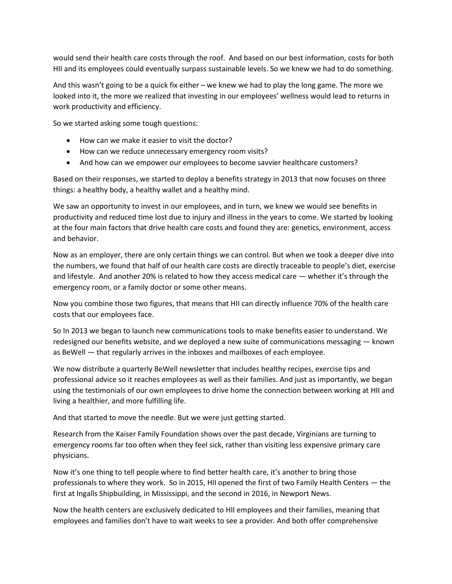would send their health care costs through the roof. And based on our best information, costs for both HII and its employees could eventually surpass sustainable levels. So we knew we had to do something.

And this wasn't going to be a quick fix either – we knew we had to play the long game. The more we looked into it, the more we realized that investing in our employees' wellness would lead to returns in work productivity and efficiency.

So we started asking some tough questions:

- How can we make it easier to visit the doctor?
- How can we reduce unnecessary emergency room visits?
- And how can we empower our employees to become savvier healthcare customers?

Based on their responses, we started to deploy a benefits strategy in 2013 that now focuses on three things: a healthy body, a healthy wallet and a healthy mind.

We saw an opportunity to invest in our employees, and in turn, we knew we would see benefits in productivity and reduced time lost due to injury and illness in the years to come. We started by looking at the four main factors that drive health care costs and found they are: genetics, environment, access and behavior.

Now as an employer, there are only certain things we can control. But when we took a deeper dive into the numbers, we found that half of our health care costs are directly traceable to people's diet, exercise and lifestyle. And another 20% is related to how they access medical care — whether it's through the emergency room, or a family doctor or some other means.

Now you combine those two figures, that means that HII can directly influence 70% of the health care costs that our employees face.

So In 2013 we began to launch new communications tools to make benefits easier to understand. We redesigned our benefits website, and we deployed a new suite of communications messaging — known as BeWell — that regularly arrives in the inboxes and mailboxes of each employee.

We now distribute a quarterly BeWell newsletter that includes healthy recipes, exercise tips and professional advice so it reaches employees as well as their families. And just as importantly, we began using the testimonials of our own employees to drive home the connection between working at HII and living a healthier, and more fulfilling life.

And that started to move the needle. But we were just getting started.

Research from the Kaiser Family Foundation shows over the past decade, Virginians are turning to emergency rooms far too often when they feel sick, rather than visiting less expensive primary care physicians.

Now it's one thing to tell people where to find better health care, it's another to bring those professionals to where they work. So in 2015, HII opened the first of two Family Health Centers — the first at Ingalls Shipbuilding, in Mississippi, and the second in 2016, in Newport News.

Now the health centers are exclusively dedicated to HII employees and their families, meaning that employees and families don't have to wait weeks to see a provider. And both offer comprehensive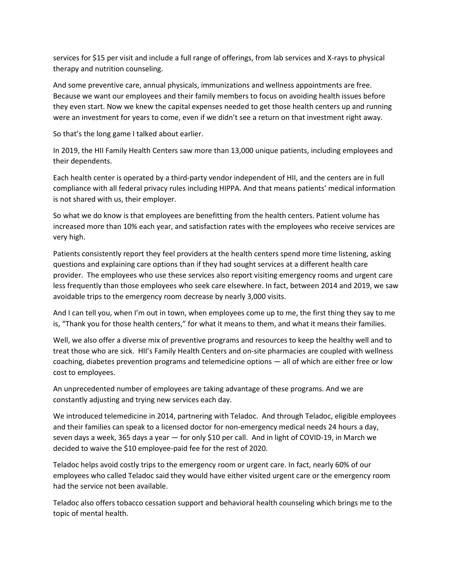services for \$15 per visit and include a full range of offerings, from lab services and X-rays to physical therapy and nutrition counseling.

And some preventive care, annual physicals, immunizations and wellness appointments are free. Because we want our employees and their family members to focus on avoiding health issues before they even start. Now we knew the capital expenses needed to get those health centers up and running were an investment for years to come, even if we didn't see a return on that investment right away.

So that's the long game I talked about earlier.

In 2019, the HII Family Health Centers saw more than 13,000 unique patients, including employees and their dependents.

Each health center is operated by a third-party vendor independent of HII, and the centers are in full compliance with all federal privacy rules including HIPPA. And that means patients' medical information is not shared with us, their employer.

So what we do know is that employees are benefitting from the health centers. Patient volume has increased more than 10% each year, and satisfaction rates with the employees who receive services are very high.

Patients consistently report they feel providers at the health centers spend more time listening, asking questions and explaining care options than if they had sought services at a different health care provider. The employees who use these services also report visiting emergency rooms and urgent care less frequently than those employees who seek care elsewhere. In fact, between 2014 and 2019, we saw avoidable trips to the emergency room decrease by nearly 3,000 visits.

And I can tell you, when I'm out in town, when employees come up to me, the first thing they say to me is, "Thank you for those health centers," for what it means to them, and what it means their families.

Well, we also offer a diverse mix of preventive programs and resources to keep the healthy well and to treat those who are sick. HII's Family Health Centers and on-site pharmacies are coupled with wellness coaching, diabetes prevention programs and telemedicine options — all of which are either free or low cost to employees.

An unprecedented number of employees are taking advantage of these programs. And we are constantly adjusting and trying new services each day.

We introduced telemedicine in 2014, partnering with Teladoc. And through Teladoc, eligible employees and their families can speak to a licensed doctor for non-emergency medical needs 24 hours a day, seven days a week, 365 days a year — for only \$10 per call. And in light of COVID-19, in March we decided to waive the \$10 employee-paid fee for the rest of 2020.

Teladoc helps avoid costly trips to the emergency room or urgent care. In fact, nearly 60% of our employees who called Teladoc said they would have either visited urgent care or the emergency room had the service not been available.

Teladoc also offers tobacco cessation support and behavioral health counseling which brings me to the topic of mental health.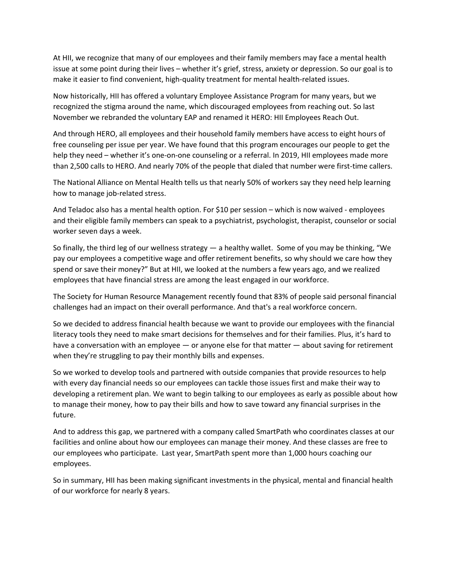At HII, we recognize that many of our employees and their family members may face a mental health issue at some point during their lives – whether it's grief, stress, anxiety or depression. So our goal is to make it easier to find convenient, high-quality treatment for mental health-related issues.

Now historically, HII has offered a voluntary Employee Assistance Program for many years, but we recognized the stigma around the name, which discouraged employees from reaching out. So last November we rebranded the voluntary EAP and renamed it HERO: HII Employees Reach Out.

And through HERO, all employees and their household family members have access to eight hours of free counseling per issue per year. We have found that this program encourages our people to get the help they need – whether it's one-on-one counseling or a referral. In 2019, HII employees made more than 2,500 calls to HERO. And nearly 70% of the people that dialed that number were first-time callers.

The National Alliance on Mental Health tells us that nearly 50% of workers say they need help learning how to manage job-related stress.

And Teladoc also has a mental health option. For \$10 per session – which is now waived - employees and their eligible family members can speak to a psychiatrist, psychologist, therapist, counselor or social worker seven days a week.

So finally, the third leg of our wellness strategy  $-$  a healthy wallet. Some of you may be thinking, "We pay our employees a competitive wage and offer retirement benefits, so why should we care how they spend or save their money?" But at HII, we looked at the numbers a few years ago, and we realized employees that have financial stress are among the least engaged in our workforce.

The Society for Human Resource Management recently found that 83% of people said personal financial challenges had an impact on their overall performance. And that's a real workforce concern.

So we decided to address financial health because we want to provide our employees with the financial literacy tools they need to make smart decisions for themselves and for their families. Plus, it's hard to have a conversation with an employee — or anyone else for that matter — about saving for retirement when they're struggling to pay their monthly bills and expenses.

So we worked to develop tools and partnered with outside companies that provide resources to help with every day financial needs so our employees can tackle those issues first and make their way to developing a retirement plan. We want to begin talking to our employees as early as possible about how to manage their money, how to pay their bills and how to save toward any financial surprises in the future.

And to address this gap, we partnered with a company called SmartPath who coordinates classes at our facilities and online about how our employees can manage their money. And these classes are free to our employees who participate. Last year, SmartPath spent more than 1,000 hours coaching our employees.

So in summary, HII has been making significant investments in the physical, mental and financial health of our workforce for nearly 8 years.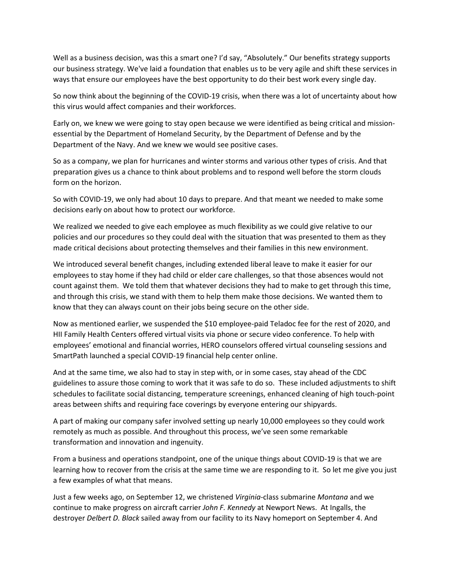Well as a business decision, was this a smart one? I'd say, "Absolutely." Our benefits strategy supports our business strategy. We've laid a foundation that enables us to be very agile and shift these services in ways that ensure our employees have the best opportunity to do their best work every single day.

So now think about the beginning of the COVID-19 crisis, when there was a lot of uncertainty about how this virus would affect companies and their workforces.

Early on, we knew we were going to stay open because we were identified as being critical and missionessential by the Department of Homeland Security, by the Department of Defense and by the Department of the Navy. And we knew we would see positive cases.

So as a company, we plan for hurricanes and winter storms and various other types of crisis. And that preparation gives us a chance to think about problems and to respond well before the storm clouds form on the horizon.

So with COVID-19, we only had about 10 days to prepare. And that meant we needed to make some decisions early on about how to protect our workforce.

We realized we needed to give each employee as much flexibility as we could give relative to our policies and our procedures so they could deal with the situation that was presented to them as they made critical decisions about protecting themselves and their families in this new environment.

We introduced several benefit changes, including extended liberal leave to make it easier for our employees to stay home if they had child or elder care challenges, so that those absences would not count against them. We told them that whatever decisions they had to make to get through this time, and through this crisis, we stand with them to help them make those decisions. We wanted them to know that they can always count on their jobs being secure on the other side.

Now as mentioned earlier, we suspended the \$10 employee-paid Teladoc fee for the rest of 2020, and HII Family Health Centers offered virtual visits via phone or secure video conference. To help with employees' emotional and financial worries, HERO counselors offered virtual counseling sessions and SmartPath launched a special COVID-19 financial help center online.

And at the same time, we also had to stay in step with, or in some cases, stay ahead of the CDC guidelines to assure those coming to work that it was safe to do so. These included adjustments to shift schedules to facilitate social distancing, temperature screenings, enhanced cleaning of high touch-point areas between shifts and requiring face coverings by everyone entering our shipyards.

A part of making our company safer involved setting up nearly 10,000 employees so they could work remotely as much as possible. And throughout this process, we've seen some remarkable transformation and innovation and ingenuity.

From a business and operations standpoint, one of the unique things about COVID-19 is that we are learning how to recover from the crisis at the same time we are responding to it. So let me give you just a few examples of what that means.

Just a few weeks ago, on September 12, we christened *Virginia*-class submarine *Montana* and we continue to make progress on aircraft carrier *John F. Kennedy* at Newport News. At Ingalls, the destroyer *Delbert D. Black* sailed away from our facility to its Navy homeport on September 4. And